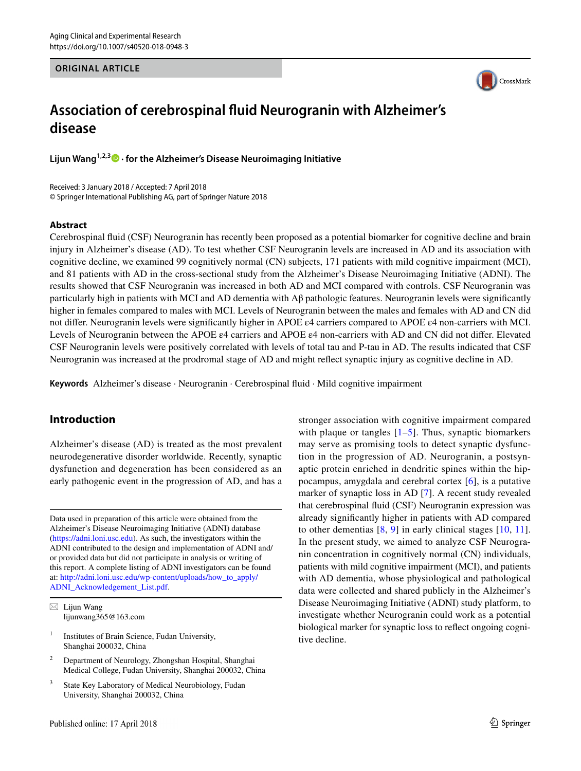#### **ORIGINAL ARTICLE**



# **Association of cerebrospinal fluid Neurogranin with Alzheimer's disease**

**Lijun Wang1,2,3 · for the Alzheimer's Disease Neuroimaging Initiative**

Received: 3 January 2018 / Accepted: 7 April 2018 © Springer International Publishing AG, part of Springer Nature 2018

#### **Abstract**

Cerebrospinal fluid (CSF) Neurogranin has recently been proposed as a potential biomarker for cognitive decline and brain injury in Alzheimer's disease (AD). To test whether CSF Neurogranin levels are increased in AD and its association with cognitive decline, we examined 99 cognitively normal (CN) subjects, 171 patients with mild cognitive impairment (MCI), and 81 patients with AD in the cross-sectional study from the Alzheimer's Disease Neuroimaging Initiative (ADNI). The results showed that CSF Neurogranin was increased in both AD and MCI compared with controls. CSF Neurogranin was particularly high in patients with MCI and AD dementia with Aβ pathologic features. Neurogranin levels were significantly higher in females compared to males with MCI. Levels of Neurogranin between the males and females with AD and CN did not differ. Neurogranin levels were significantly higher in APOE ε4 carriers compared to APOE ε4 non-carriers with MCI. Levels of Neurogranin between the APOE ε4 carriers and APOE ε4 non-carriers with AD and CN did not differ. Elevated CSF Neurogranin levels were positively correlated with levels of total tau and P-tau in AD. The results indicated that CSF Neurogranin was increased at the prodromal stage of AD and might reflect synaptic injury as cognitive decline in AD.

**Keywords** Alzheimer's disease · Neurogranin · Cerebrospinal fluid · Mild cognitive impairment

# **Introduction**

Alzheimer's disease (AD) is treated as the most prevalent neurodegenerative disorder worldwide. Recently, synaptic dysfunction and degeneration has been considered as an early pathogenic event in the progression of AD, and has a

Data used in preparation of this article were obtained from the Alzheimer's Disease Neuroimaging Initiative (ADNI) database (<https://adni.loni.usc.edu>). As such, the investigators within the ADNI contributed to the design and implementation of ADNI and/ or provided data but did not participate in analysis or writing of this report. A complete listing of ADNI investigators can be found at: [http://adni.loni.usc.edu/wp-content/uploads/how\\_to\\_apply/](http://adni.loni.usc.edu/wp-content/uploads/how_to_apply/ADNI_Acknowledgement_List.pdf) [ADNI\\_Acknowledgement\\_List.pdf.](http://adni.loni.usc.edu/wp-content/uploads/how_to_apply/ADNI_Acknowledgement_List.pdf)

- $\boxtimes$  Lijun Wang lijunwang365@163.com
- <sup>1</sup> Institutes of Brain Science, Fudan University, Shanghai 200032, China
- <sup>2</sup> Department of Neurology, Zhongshan Hospital, Shanghai Medical College, Fudan University, Shanghai 200032, China
- <sup>3</sup> State Key Laboratory of Medical Neurobiology, Fudan University, Shanghai 200032, China

stronger association with cognitive impairment compared with plaque or tangles  $[1–5]$  $[1–5]$  $[1–5]$  $[1–5]$ . Thus, synaptic biomarkers may serve as promising tools to detect synaptic dysfunction in the progression of AD. Neurogranin, a postsynaptic protein enriched in dendritic spines within the hippocampus, amygdala and cerebral cortex [\[6](#page-5-2)], is a putative marker of synaptic loss in AD [[7\]](#page-5-3). A recent study revealed that cerebrospinal fluid (CSF) Neurogranin expression was already significantly higher in patients with AD compared to other dementias  $[8, 9]$  $[8, 9]$  $[8, 9]$  $[8, 9]$  in early clinical stages  $[10, 11]$  $[10, 11]$  $[10, 11]$  $[10, 11]$  $[10, 11]$ . In the present study, we aimed to analyze CSF Neurogranin concentration in cognitively normal (CN) individuals, patients with mild cognitive impairment (MCI), and patients with AD dementia, whose physiological and pathological data were collected and shared publicly in the Alzheimer's Disease Neuroimaging Initiative (ADNI) study platform, to investigate whether Neurogranin could work as a potential biological marker for synaptic loss to reflect ongoing cognitive decline.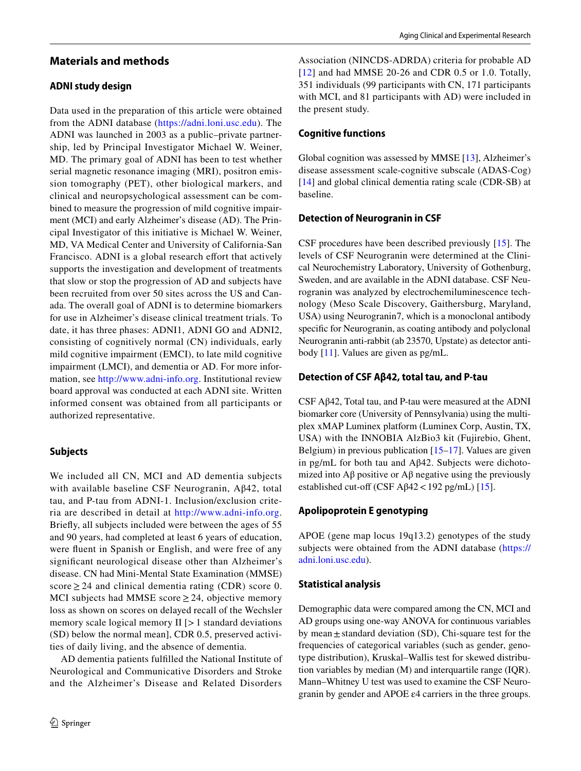# **Materials and methods**

## **ADNI study design**

Data used in the preparation of this article were obtained from the ADNI database ([https://adni.loni.usc.edu\)](https://adni.loni.usc.edu). The ADNI was launched in 2003 as a public–private partnership, led by Principal Investigator Michael W. Weiner, MD. The primary goal of ADNI has been to test whether serial magnetic resonance imaging (MRI), positron emission tomography (PET), other biological markers, and clinical and neuropsychological assessment can be combined to measure the progression of mild cognitive impairment (MCI) and early Alzheimer's disease (AD). The Principal Investigator of this initiative is Michael W. Weiner, MD, VA Medical Center and University of California-San Francisco. ADNI is a global research effort that actively supports the investigation and development of treatments that slow or stop the progression of AD and subjects have been recruited from over 50 sites across the US and Canada. The overall goal of ADNI is to determine biomarkers for use in Alzheimer's disease clinical treatment trials. To date, it has three phases: ADNI1, ADNI GO and ADNI2, consisting of cognitively normal (CN) individuals, early mild cognitive impairment (EMCI), to late mild cognitive impairment (LMCI), and dementia or AD. For more information, see [http://www.adni-info.org.](http://www.adni-info.org) Institutional review board approval was conducted at each ADNI site. Written informed consent was obtained from all participants or authorized representative.

## **Subjects**

We included all CN, MCI and AD dementia subjects with available baseline CSF Neurogranin, Aβ42, total tau, and P-tau from ADNI-1. Inclusion/exclusion criteria are described in detail at [http://www.adni-info.org.](http://www.adni-info.org) Briefly, all subjects included were between the ages of 55 and 90 years, had completed at least 6 years of education, were fluent in Spanish or English, and were free of any significant neurological disease other than Alzheimer's disease. CN had Mini-Mental State Examination (MMSE) score  $\geq$  24 and clinical dementia rating (CDR) score 0. MCI subjects had MMSE score  $\geq$  24, objective memory loss as shown on scores on delayed recall of the Wechsler memory scale logical memory  $II$  [ $>1$  standard deviations (SD) below the normal mean], CDR 0.5, preserved activities of daily living, and the absence of dementia.

AD dementia patients fulfilled the National Institute of Neurological and Communicative Disorders and Stroke and the Alzheimer's Disease and Related Disorders

Association (NINCDS-ADRDA) criteria for probable AD [[12](#page-5-8)] and had MMSE 20-26 and CDR 0.5 or 1.0. Totally, 351 individuals (99 participants with CN, 171 participants with MCI, and 81 participants with AD) were included in the present study.

## **Cognitive functions**

Global cognition was assessed by MMSE [\[13](#page-5-9)], Alzheimer's disease assessment scale-cognitive subscale (ADAS-Cog) [[14\]](#page-5-10) and global clinical dementia rating scale (CDR-SB) at baseline.

### **Detection of Neurogranin in CSF**

CSF procedures have been described previously [\[15\]](#page-5-11). The levels of CSF Neurogranin were determined at the Clinical Neurochemistry Laboratory, University of Gothenburg, Sweden, and are available in the ADNI database. CSF Neurogranin was analyzed by electrochemiluminescence technology (Meso Scale Discovery, Gaithersburg, Maryland, USA) using Neurogranin7, which is a monoclonal antibody specific for Neurogranin, as coating antibody and polyclonal Neurogranin anti-rabbit (ab 23570, Upstate) as detector antibody [\[11](#page-5-7)]. Values are given as pg/mL.

### **Detection of CSF Aβ42, total tau, and P‑tau**

CSF Aβ42, Total tau, and P-tau were measured at the ADNI biomarker core (University of Pennsylvania) using the multiplex xMAP Luminex platform (Luminex Corp, Austin, TX, USA) with the INNOBIA AlzBio3 kit (Fujirebio, Ghent, Belgium) in previous publication [[15–](#page-5-11)[17\]](#page-5-12). Values are given in pg/mL for both tau and Aβ42. Subjects were dichotomized into  $\Lambda$ β positive or  $\Lambda$ β negative using the previously established cut-off (CSF A $\beta$ 42 < 192 pg/mL) [\[15](#page-5-11)].

## **Apolipoprotein E genotyping**

APOE (gene map locus 19q13.2) genotypes of the study subjects were obtained from the ADNI database [\(https://](https://adni.loni.usc.edu) [adni.loni.usc.edu](https://adni.loni.usc.edu)).

## **Statistical analysis**

Demographic data were compared among the CN, MCI and AD groups using one-way ANOVA for continuous variables by mean $\pm$  standard deviation (SD), Chi-square test for the frequencies of categorical variables (such as gender, genotype distribution), Kruskal–Wallis test for skewed distribution variables by median (M) and interquartile range (IQR). Mann–Whitney U test was used to examine the CSF Neurogranin by gender and APOE ε4 carriers in the three groups.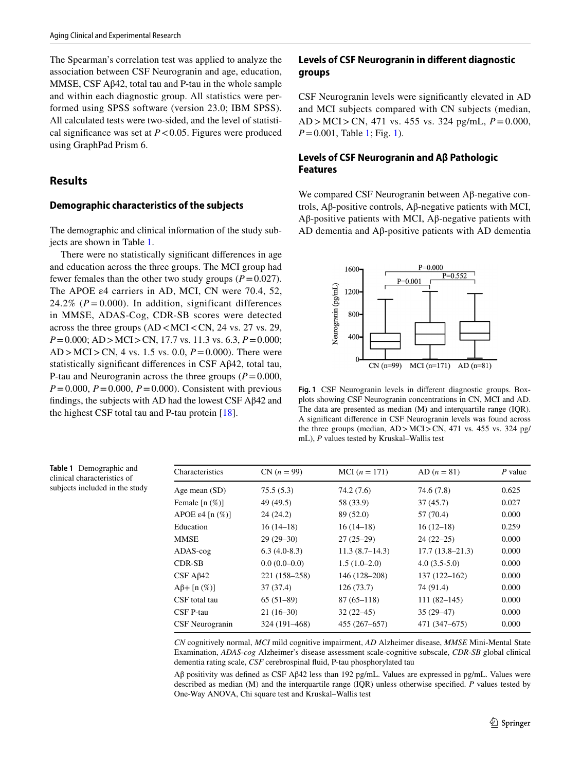The Spearman's correlation test was applied to analyze the association between CSF Neurogranin and age, education, MMSE, CSF Aβ42, total tau and P-tau in the whole sample and within each diagnostic group. All statistics were performed using SPSS software (version 23.0; IBM SPSS). All calculated tests were two-sided, and the level of statistical significance was set at  $P < 0.05$ . Figures were produced using GraphPad Prism 6.

## **Results**

#### **Demographic characteristics of the subjects**

The demographic and clinical information of the study subjects are shown in Table [1.](#page-2-0)

There were no statistically significant differences in age and education across the three groups. The MCI group had fewer females than the other two study groups  $(P=0.027)$ . The APOE  $\varepsilon$ 4 carriers in AD, MCI, CN were 70.4, 52, 24.2%  $(P = 0.000)$ . In addition, significant differences in MMSE, ADAS-Cog, CDR-SB scores were detected across the three groups  $(AD < MCI < CN, 24$  vs. 27 vs. 29, *P*=0.000; AD>MCI>CN, 17.7 vs. 11.3 vs. 6.3, *P*=0.000; AD > MCI>CN, 4 vs. 1.5 vs. 0.0, *P*=0.000). There were statistically significant differences in CSF Aβ42, total tau, P-tau and Neurogranin across the three groups  $(P=0.000,$  $P=0.000, P=0.000, P=0.000$ . Consistent with previous findings, the subjects with AD had the lowest CSF Aβ42 and the highest CSF total tau and P-tau protein [\[18](#page-5-13)].

## **Levels of CSF Neurogranin in different diagnostic groups**

CSF Neurogranin levels were significantly elevated in AD and MCI subjects compared with CN subjects (median, AD > MCI>CN, 471 vs. 455 vs. 324 pg/mL, *P*=0.000, *P*=0.001, Table [1;](#page-2-0) Fig. [1](#page-2-1)).

## **Levels of CSF Neurogranin and Aβ Pathologic Features**

We compared CSF Neurogranin between Aβ-negative controls, Aβ-positive controls, Aβ-negative patients with MCI, Aβ-positive patients with MCI, Aβ-negative patients with AD dementia and Aβ-positive patients with AD dementia



<span id="page-2-1"></span>**Fig. 1** CSF Neurogranin levels in different diagnostic groups. Boxplots showing CSF Neurogranin concentrations in CN, MCI and AD. The data are presented as median (M) and interquartile range (IQR). A significant difference in CSF Neurogranin levels was found across the three groups (median, AD>MCI>CN, 471 vs. 455 vs. 324 pg/ mL), *P* values tested by Kruskal–Wallis test

| Characteristics                  | $CN (n = 99)$  | MCI $(n = 171)$ | $AD (n = 81)$       | $P$ value |
|----------------------------------|----------------|-----------------|---------------------|-----------|
| Age mean (SD)                    | 75.5(5.3)      | 74.2(7.6)       | 74.6 (7.8)          | 0.625     |
| Female $[n (\%)]$                | 49 (49.5)      | 58 (33.9)       | 37(45.7)            | 0.027     |
| APOE $\varepsilon$ 4 [n $(\%)$ ] | 24(24.2)       | 89 (52.0)       | 57 (70.4)           | 0.000     |
| Education                        | $16(14-18)$    | $16(14-18)$     | $16(12-18)$         | 0.259     |
| MMSE                             | $29(29-30)$    | $27(25-29)$     | $24(22-25)$         | 0.000     |
| ADAS-cog                         | $6.3(4.0-8.3)$ | 11.3(8.7–14.3)  | $17.7(13.8 - 21.3)$ | 0.000     |
| <b>CDR-SB</b>                    | $0.0(0.0-0.0)$ | $1.5(1.0-2.0)$  | $4.0(3.5-5.0)$      | 0.000     |
| $CSF A\beta42$                   | 221 (158-258)  | 146 (128-208)   | $137(122 - 162)$    | 0.000     |
| $A\beta + [n(\%)]$               | 37(37.4)       | 126(73.7)       | 74 (91.4)           | 0.000     |
| CSF total tau                    | $65(51-89)$    | $87(65 - 118)$  | $111(82 - 145)$     | 0.000     |
| CSF P-tau                        | $21(16-30)$    | $32(22-45)$     | $35(29-47)$         | 0.000     |
| CSF Neurogranin                  | 324 (191–468)  | 455 (267-657)   | 471 (347–675)       | 0.000     |

*CN* cognitively normal, *MCI* mild cognitive impairment, *AD* Alzheimer disease, *MMSE* Mini-Mental State Examination, *ADAS*-*cog* Alzheimer's disease assessment scale-cognitive subscale, *CDR*-*SB* global clinical dementia rating scale, *CSF* cerebrospinal fluid, P-tau phosphorylated tau

Aβ positivity was defined as CSF Aβ42 less than 192 pg/mL. Values are expressed in pg/mL. Values were described as median (M) and the interquartile range (IQR) unless otherwise specified. *P* values tested by One-Way ANOVA, Chi square test and Kruskal–Wallis test

<span id="page-2-0"></span>**Table 1** Demographic and clinical characteristics of subjects included in the study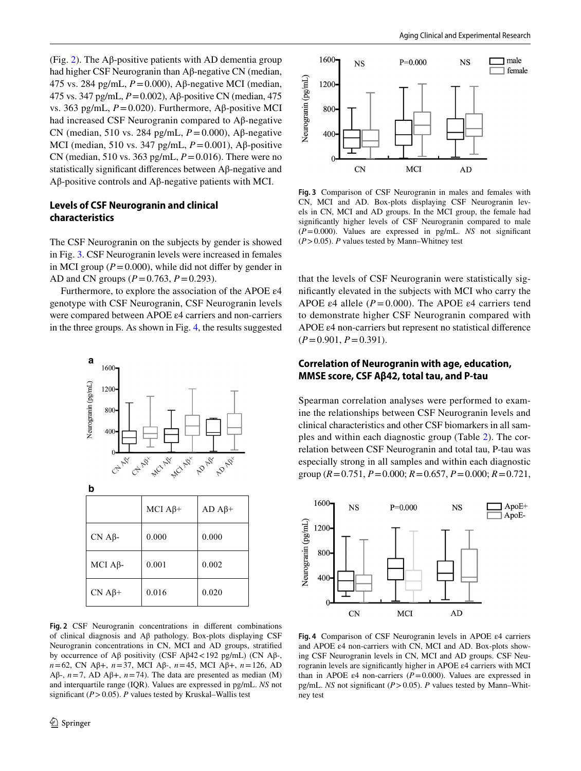(Fig. [2\)](#page-3-0). The Aβ-positive patients with AD dementia group had higher CSF Neurogranin than Aβ-negative CN (median, 475 vs. 284 pg/mL, *P*=0.000), Aβ-negative MCI (median, 475 vs. 347 pg/mL, *P*=0.002), Aβ-positive CN (median, 475 vs. 363 pg/mL, *P*=0.020). Furthermore, Aβ-positive MCI had increased CSF Neurogranin compared to Aβ-negative CN (median, 510 vs. 284 pg/mL, *P*=0.000), Aβ-negative MCI (median, 510 vs. 347 pg/mL, *P*=0.001), Aβ-positive CN (median, 510 vs. 363 pg/mL, *P*=0.016). There were no statistically significant differences between Aβ-negative and Aβ-positive controls and Aβ-negative patients with MCI.

## **Levels of CSF Neurogranin and clinical characteristics**

The CSF Neurogranin on the subjects by gender is showed in Fig. [3](#page-3-1). CSF Neurogranin levels were increased in females in MCI group  $(P=0.000)$ , while did not differ by gender in AD and CN groups (*P*=0.763, *P*=0.293).

Furthermore, to explore the association of the APOE ε4 genotype with CSF Neurogranin, CSF Neurogranin levels were compared between APOE ε4 carriers and non-carriers in the three groups. As shown in Fig. [4](#page-3-2), the results suggested



<span id="page-3-0"></span>**Fig. 2** CSF Neurogranin concentrations in different combinations of clinical diagnosis and Aβ pathology. Box-plots displaying CSF Neurogranin concentrations in CN, MCI and AD groups, stratified by occurrence of Aβ positivity (CSF Aβ42<192 pg/mL) (CN Aβ-, *n*=62, CN Aβ+, *n*=37, MCI Aβ-, *n*=45, MCI Aβ+, *n*=126, AD Aβ-,  $n=7$ , AD Aβ+,  $n=74$ ). The data are presented as median (M) and interquartile range (IQR). Values are expressed in pg/mL. *NS* not significant (*P*>0.05). *P* values tested by Kruskal–Wallis test



<span id="page-3-1"></span>**Fig. 3** Comparison of CSF Neurogranin in males and females with CN, MCI and AD. Box-plots displaying CSF Neurogranin levels in CN, MCI and AD groups. In the MCI group, the female had significantly higher levels of CSF Neurogranin compared to male (*P*=0.000). Values are expressed in pg/mL. *NS* not significant  $(P>0.05)$ . *P* values tested by Mann–Whitney test

that the levels of CSF Neurogranin were statistically significantly elevated in the subjects with MCI who carry the APOE  $\varepsilon$ 4 allele ( $P = 0.000$ ). The APOE  $\varepsilon$ 4 carriers tend to demonstrate higher CSF Neurogranin compared with APOE ε4 non-carriers but represent no statistical difference (*P*=0.901, *P*=0.391).

### **Correlation of Neurogranin with age, education, MMSE score, CSF Aβ42, total tau, and P‑tau**

Spearman correlation analyses were performed to examine the relationships between CSF Neurogranin levels and clinical characteristics and other CSF biomarkers in all samples and within each diagnostic group (Table [2](#page-4-0)). The correlation between CSF Neurogranin and total tau, P-tau was especially strong in all samples and within each diagnostic group (*R*=0.751, *P*=0.000; *R*=0.657, *P*=0.000; *R*=0.721,



<span id="page-3-2"></span>**Fig. 4** Comparison of CSF Neurogranin levels in APOE ε4 carriers and APOE ε4 non-carriers with CN, MCI and AD. Box-plots showing CSF Neurogranin levels in CN, MCI and AD groups. CSF Neurogranin levels are significantly higher in APOE ε4 carriers with MCI than in APOE  $\varepsilon$ 4 non-carriers ( $P = 0.000$ ). Values are expressed in pg/mL. *NS* not significant (*P*>0.05). *P* values tested by Mann–Whitney test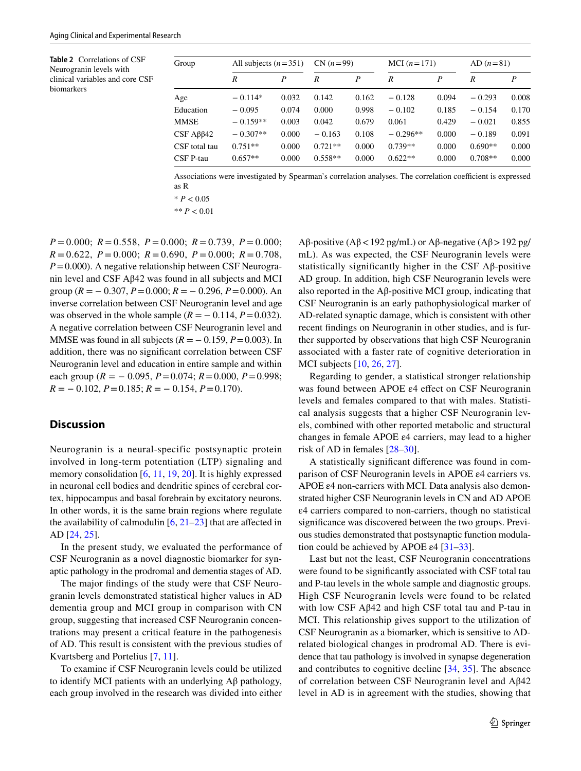<span id="page-4-0"></span>**Table 2** Correlations of CSF Neurogranin levels with clinical variables and core CSF biomarkers

| Group                      | All subjects $(n=351)$ |       | $CN (n=99)$ |       | MCI $(n=171)$ |       | $AD (n=81)$ |       |
|----------------------------|------------------------|-------|-------------|-------|---------------|-------|-------------|-------|
|                            | R                      | P     | R           | P     | R             | P     | R           | P     |
| Age                        | $-0.114*$              | 0.032 | 0.142       | 0.162 | $-0.128$      | 0.094 | $-0.293$    | 0.008 |
| Education                  | $-0.095$               | 0.074 | 0.000       | 0.998 | $-0.102$      | 0.185 | $-0.154$    | 0.170 |
| <b>MMSE</b>                | $-0.159**$             | 0.003 | 0.042       | 0.679 | 0.061         | 0.429 | $-0.021$    | 0.855 |
| $CSF$ A $\beta$ $\beta$ 42 | $-0.307**$             | 0.000 | $-0.163$    | 0.108 | $-0.296**$    | 0.000 | $-0.189$    | 0.091 |
| CSF total tau              | $0.751**$              | 0.000 | $0.721**$   | 0.000 | $0.739**$     | 0.000 | $0.690**$   | 0.000 |
| CSF P-tau                  | $0.657**$              | 0.000 | $0.558**$   | 0.000 | $0.622**$     | 0.000 | $0.708**$   | 0.000 |

Associations were investigated by Spearman's correlation analyses. The correlation coefficient is expressed as R

\*\* *P* < 0.01

*P* = 0.000; *R* = 0.558, *P* = 0.000; *R* = 0.739, *P* = 0.000; *R* = 0.622, *P* = 0.000; *R* = 0.690, *P* = 0.000; *R* = 0.708, *P*=0.000). A negative relationship between CSF Neurogranin level and CSF Aβ42 was found in all subjects and MCI group ( $R = -0.307$ ,  $P = 0.000$ ;  $R = -0.296$ ,  $P = 0.000$ ). An inverse correlation between CSF Neurogranin level and age was observed in the whole sample  $(R = -0.114, P = 0.032)$ . A negative correlation between CSF Neurogranin level and MMSE was found in all subjects  $(R = -0.159, P = 0.003)$ . In addition, there was no significant correlation between CSF Neurogranin level and education in entire sample and within each group ( $R = -0.095$ ,  $P = 0.074$ ;  $R = 0.000$ ,  $P = 0.998$ ;  $R = -0.102$ ,  $P = 0.185$ ;  $R = -0.154$ ,  $P = 0.170$ ).

# **Discussion**

Neurogranin is a neural-specific postsynaptic protein involved in long-term potentiation (LTP) signaling and memory consolidation [[6,](#page-5-2) [11,](#page-5-7) [19,](#page-6-0) [20](#page-6-1)]. It is highly expressed in neuronal cell bodies and dendritic spines of cerebral cortex, hippocampus and basal forebrain by excitatory neurons. In other words, it is the same brain regions where regulate the availability of calmodulin  $[6, 21-23]$  $[6, 21-23]$  $[6, 21-23]$  $[6, 21-23]$  that are affected in AD [\[24](#page-6-4), [25\]](#page-6-5).

In the present study, we evaluated the performance of CSF Neurogranin as a novel diagnostic biomarker for synaptic pathology in the prodromal and dementia stages of AD.

The major findings of the study were that CSF Neurogranin levels demonstrated statistical higher values in AD dementia group and MCI group in comparison with CN group, suggesting that increased CSF Neurogranin concentrations may present a critical feature in the pathogenesis of AD. This result is consistent with the previous studies of Kvartsberg and Portelius [\[7](#page-5-3), [11](#page-5-7)].

To examine if CSF Neurogranin levels could be utilized to identify MCI patients with an underlying Aβ pathology, each group involved in the research was divided into either Aβ-positive (Aβ < 192 pg/mL) or Aβ-negative (Aβ > 192 pg/ mL). As was expected, the CSF Neurogranin levels were statistically significantly higher in the CSF Aβ-positive AD group. In addition, high CSF Neurogranin levels were also reported in the A $\beta$ -positive MCI group, indicating that CSF Neurogranin is an early pathophysiological marker of AD-related synaptic damage, which is consistent with other recent findings on Neurogranin in other studies, and is further supported by observations that high CSF Neurogranin associated with a faster rate of cognitive deterioration in MCI subjects [[10](#page-5-6), [26](#page-6-6), [27](#page-6-7)].

Regarding to gender, a statistical stronger relationship was found between APOE ε4 effect on CSF Neurogranin levels and females compared to that with males. Statistical analysis suggests that a higher CSF Neurogranin levels, combined with other reported metabolic and structural changes in female APOE ε4 carriers, may lead to a higher risk of AD in females [[28](#page-6-8)[–30](#page-6-9)].

A statistically significant difference was found in comparison of CSF Neurogranin levels in APOE ε4 carriers vs. APOE ε4 non-carriers with MCI. Data analysis also demonstrated higher CSF Neurogranin levels in CN and AD APOE ε4 carriers compared to non-carriers, though no statistical significance was discovered between the two groups. Previous studies demonstrated that postsynaptic function modulation could be achieved by APOE  $\varepsilon$ 4 [\[31](#page-6-10)[–33\]](#page-6-11).

Last but not the least, CSF Neurogranin concentrations were found to be significantly associated with CSF total tau and P-tau levels in the whole sample and diagnostic groups. High CSF Neurogranin levels were found to be related with low CSF Aβ42 and high CSF total tau and P-tau in MCI. This relationship gives support to the utilization of CSF Neurogranin as a biomarker, which is sensitive to ADrelated biological changes in prodromal AD. There is evidence that tau pathology is involved in synapse degeneration and contributes to cognitive decline [[34](#page-6-12), [35\]](#page-6-13). The absence of correlation between CSF Neurogranin level and Aβ42 level in AD is in agreement with the studies, showing that

 $* P < 0.05$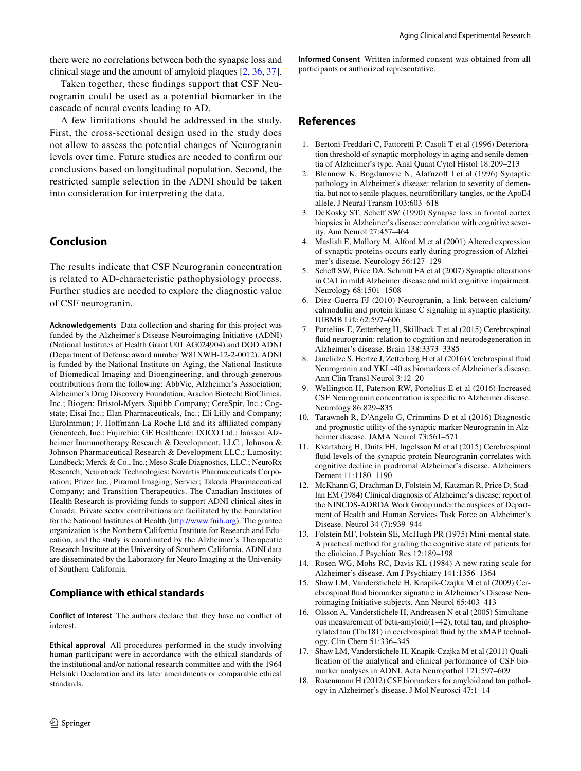there were no correlations between both the synapse loss and clinical stage and the amount of amyloid plaques [\[2,](#page-5-14) [36,](#page-6-14) [37](#page-6-15)].

Taken together, these findings support that CSF Neurogranin could be used as a potential biomarker in the cascade of neural events leading to AD.

A few limitations should be addressed in the study. First, the cross-sectional design used in the study does not allow to assess the potential changes of Neurogranin levels over time. Future studies are needed to confirm our conclusions based on longitudinal population. Second, the restricted sample selection in the ADNI should be taken into consideration for interpreting the data.

## **Conclusion**

The results indicate that CSF Neurogranin concentration is related to AD-characteristic pathophysiology process. Further studies are needed to explore the diagnostic value of CSF neurogranin.

**Acknowledgements** Data collection and sharing for this project was funded by the Alzheimer's Disease Neuroimaging Initiative (ADNI) (National Institutes of Health Grant U01 AG024904) and DOD ADNI (Department of Defense award number W81XWH-12-2-0012). ADNI is funded by the National Institute on Aging, the National Institute of Biomedical Imaging and Bioengineering, and through generous contributions from the following: AbbVie, Alzheimer's Association; Alzheimer's Drug Discovery Foundation; Araclon Biotech; BioClinica, Inc.; Biogen; Bristol-Myers Squibb Company; CereSpir, Inc.; Cogstate; Eisai Inc.; Elan Pharmaceuticals, Inc.; Eli Lilly and Company; EuroImmun; F. Hoffmann-La Roche Ltd and its affiliated company Genentech, Inc.; Fujirebio; GE Healthcare; IXICO Ltd.; Janssen Alzheimer Immunotherapy Research & Development, LLC.; Johnson & Johnson Pharmaceutical Research & Development LLC.; Lumosity; Lundbeck; Merck & Co., Inc.; Meso Scale Diagnostics, LLC.; NeuroRx Research; Neurotrack Technologies; Novartis Pharmaceuticals Corporation; Pfizer Inc.; Piramal Imaging; Servier; Takeda Pharmaceutical Company; and Transition Therapeutics. The Canadian Institutes of Health Research is providing funds to support ADNI clinical sites in Canada. Private sector contributions are facilitated by the Foundation for the National Institutes of Health [\(http://www.fnih.org](http://www.fnih.org)). The grantee organization is the Northern California Institute for Research and Education, and the study is coordinated by the Alzheimer's Therapeutic Research Institute at the University of Southern California. ADNI data are disseminated by the Laboratory for Neuro Imaging at the University of Southern California.

#### **Compliance with ethical standards**

**Conflict of interest** The authors declare that they have no conflict of interest.

**Ethical approval** All procedures performed in the study involving human participant were in accordance with the ethical standards of the institutional and/or national research committee and with the 1964 Helsinki Declaration and its later amendments or comparable ethical standards.

**Informed Consent** Written informed consent was obtained from all participants or authorized representative.

## **References**

- <span id="page-5-0"></span>1. Bertoni-Freddari C, Fattoretti P, Casoli T et al (1996) Deterioration threshold of synaptic morphology in aging and senile dementia of Alzheimer's type. Anal Quant Cytol Histol 18:209–213
- <span id="page-5-14"></span>2. Blennow K, Bogdanovic N, Alafuzoff I et al (1996) Synaptic pathology in Alzheimer's disease: relation to severity of dementia, but not to senile plaques, neurofibrillary tangles, or the ApoE4 allele. J Neural Transm 103:603–618
- 3. DeKosky ST, Scheff SW (1990) Synapse loss in frontal cortex biopsies in Alzheimer's disease: correlation with cognitive severity. Ann Neurol 27:457–464
- Masliah E, Mallory M, Alford M et al (2001) Altered expression of synaptic proteins occurs early during progression of Alzheimer's disease. Neurology 56:127–129
- <span id="page-5-1"></span>5. Scheff SW, Price DA, Schmitt FA et al (2007) Synaptic alterations in CA1 in mild Alzheimer disease and mild cognitive impairment. Neurology 68:1501–1508
- <span id="page-5-2"></span>6. Diez-Guerra FJ (2010) Neurogranin, a link between calcium/ calmodulin and protein kinase C signaling in synaptic plasticity. IUBMB Life 62:597–606
- <span id="page-5-3"></span>7. Portelius E, Zetterberg H, Skillback T et al (2015) Cerebrospinal fluid neurogranin: relation to cognition and neurodegeneration in Alzheimer's disease. Brain 138:3373–3385
- <span id="page-5-4"></span>8. Janelidze S, Hertze J, Zetterberg H et al (2016) Cerebrospinal fluid Neurogranin and YKL-40 as biomarkers of Alzheimer's disease. Ann Clin Transl Neurol 3:12–20
- <span id="page-5-5"></span>9. Wellington H, Paterson RW, Portelius E et al (2016) Increased CSF Neurogranin concentration is specific to Alzheimer disease. Neurology 86:829–835
- <span id="page-5-6"></span>10. Tarawneh R, D'Angelo G, Crimmins D et al (2016) Diagnostic and prognostic utility of the synaptic marker Neurogranin in Alzheimer disease. JAMA Neurol 73:561–571
- <span id="page-5-7"></span>11. Kvartsberg H, Duits FH, Ingelsson M et al (2015) Cerebrospinal fluid levels of the synaptic protein Neurogranin correlates with cognitive decline in prodromal Alzheimer's disease. Alzheimers Dement 11:1180–1190
- <span id="page-5-8"></span>12. McKhann G, Drachman D, Folstein M, Katzman R, Price D, Stadlan EM (1984) Clinical diagnosis of Alzheimer's disease: report of the NINCDS-ADRDA Work Group under the auspices of Department of Health and Human Services Task Force on Alzheimer's Disease. Neurol 34 (7):939–944
- <span id="page-5-9"></span>13. Folstein MF, Folstein SE, McHugh PR (1975) Mini-mental state. A practical method for grading the cognitive state of patients for the clinician. J Psychiatr Res 12:189–198
- <span id="page-5-10"></span>14. Rosen WG, Mohs RC, Davis KL (1984) A new rating scale for Alzheimer's disease. Am J Psychiatry 141:1356–1364
- <span id="page-5-11"></span>15. Shaw LM, Vanderstichele H, Knapik-Czajka M et al (2009) Cerebrospinal fluid biomarker signature in Alzheimer's Disease Neuroimaging Initiative subjects. Ann Neurol 65:403–413
- 16. Olsson A, Vanderstichele H, Andreasen N et al (2005) Simultaneous measurement of beta-amyloid(1–42), total tau, and phosphorylated tau (Thr181) in cerebrospinal fluid by the xMAP technology. Clin Chem 51:336–345
- <span id="page-5-12"></span>17. Shaw LM, Vanderstichele H, Knapik-Czajka M et al (2011) Qualification of the analytical and clinical performance of CSF biomarker analyses in ADNI. Acta Neuropathol 121:597–609
- <span id="page-5-13"></span>18. Rosenmann H (2012) CSF biomarkers for amyloid and tau pathology in Alzheimer's disease. J Mol Neurosci 47:1–14